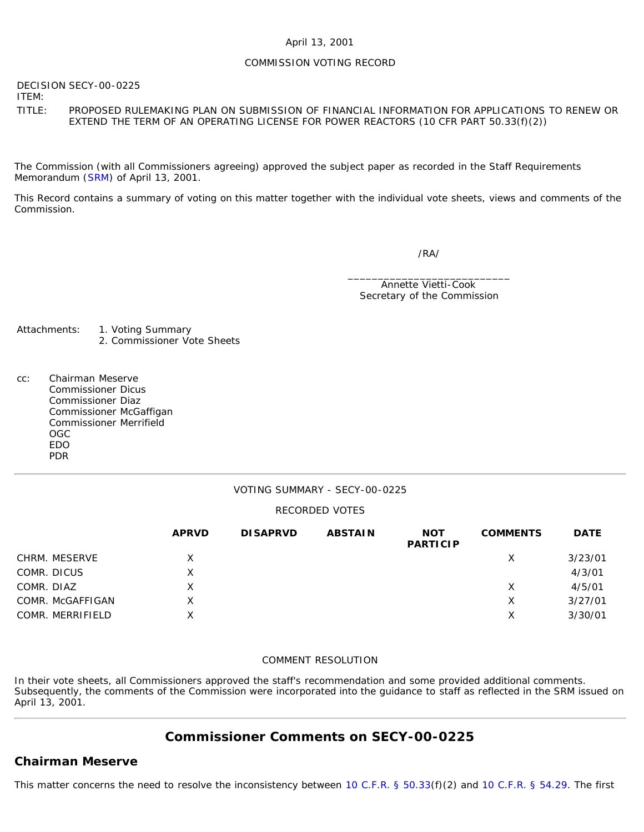### April 13, 2001

### COMMISSION VOTING RECORD

DECISION SECY-00-0225

ITEM:

TITLE: PROPOSED RULEMAKING PLAN ON SUBMISSION OF FINANCIAL INFORMATION FOR APPLICATIONS TO RENEW OR EXTEND THE TERM OF AN OPERATING LICENSE FOR POWER REACTORS (10 CFR PART 50.33(f)(2))

The Commission (with all Commissioners agreeing) approved the subject paper as recorded in the Staff Requirements Memorandum ([SRM\)](http://www.nrc.gov/reading-rm/doc-collections/commission/srm/2000/2000-0225srm.html) of April 13, 2001.

This Record contains a summary of voting on this matter together with the individual vote sheets, views and comments of the Commission.

/RA/

\_\_\_\_\_\_\_\_\_\_\_\_\_\_\_\_\_\_\_\_\_\_\_\_\_\_\_ Annette Vietti-Cook Secretary of the Commission

- Attachments: 1. Voting Summary 2. Commissioner Vote Sheets
- cc: Chairman Meserve Commissioner Dicus Commissioner Diaz Commissioner McGaffigan Commissioner Merrifield OGC EDO PDR

### VOTING SUMMARY - SECY-00-0225

#### RECORDED VOTES

|                  | <b>APRVD</b> | <b>DISAPRVD</b> | <b>ABSTAIN</b> | <b>NOT</b><br><b>PARTICIP</b> | <b>COMMENTS</b> | <b>DATE</b> |
|------------------|--------------|-----------------|----------------|-------------------------------|-----------------|-------------|
| CHRM. MESERVE    | X            |                 |                |                               | Х               | 3/23/01     |
| COMR. DICUS      | X            |                 |                |                               |                 | 4/3/01      |
| COMR. DIAZ       | Χ            |                 |                |                               | Х               | 4/5/01      |
| COMR. McGAFFIGAN | x            |                 |                |                               | х               | 3/27/01     |
| COMR. MERRIFIELD | X            |                 |                |                               | Х               | 3/30/01     |

#### COMMENT RESOLUTION

In their vote sheets, all Commissioners approved the staff's recommendation and some provided additional comments. Subsequently, the comments of the Commission were incorporated into the guidance to staff as reflected in the SRM issued on April 13, 2001.

## **Commissioner Comments on [SECY-00-0225](http://www.nrc.gov/reading-rm/doc-collections/commission/secys/2000/secy2000-0225/2000-0225scy.html)**

### **Chairman Meserve**

This matter concerns the need to resolve the inconsistency between [10 C.F.R. § 50.33\(](http://www.nrc.gov/reading-rm/doc-collections/cfr/part050/part050-0033.html)f)(2) and [10 C.F.R. § 54.29.](http://www.nrc.gov/reading-rm/doc-collections/cfr/part054/part054-0029.html) The first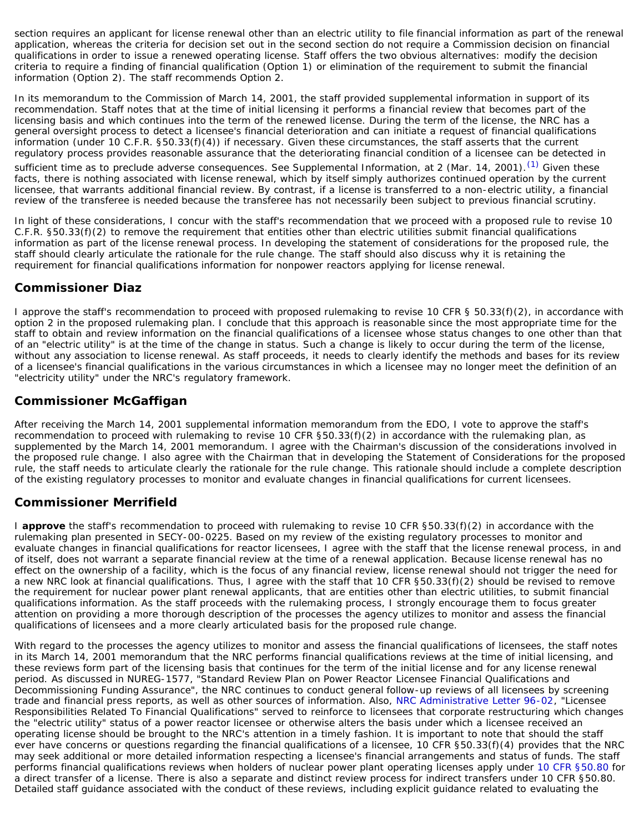section requires an applicant for license renewal other than an electric utility to file financial information as part of the renewal application, whereas the criteria for decision set out in the second section do not require a Commission decision on financial qualifications in order to issue a renewed operating license. Staff offers the two obvious alternatives: modify the decision criteria to require a finding of financial qualification (Option 1) or elimination of the requirement to submit the financial information (Option 2). The staff recommends Option 2.

In its memorandum to the Commission of March 14, 2001, the staff provided supplemental information in support of its recommendation. Staff notes that at the time of initial licensing it performs a financial review that becomes part of the licensing basis and which continues into the term of the renewed license. During the term of the license, the NRC has a general oversight process to detect a licensee's financial deterioration and can initiate a request of financial qualifications information (under 10 C.F.R. §50.33(f)(4)) if necessary. Given these circumstances, the staff asserts that the current regulatory process provides reasonable assurance that the deteriorating financial condition of a licensee can be detected in

sufficient time as to preclude adverse consequences. See Supplemental Information, at 2 (Mar. 14, 2001).<sup>[\(1\)](#page-2-0)</sup> Given these facts, there is nothing associated with license renewal, which by itself simply authorizes continued operation by the current licensee, that warrants additional financial review. By contrast, if a license is transferred to a non-electric utility, a financial review of the transferee is needed because the transferee has not necessarily been subject to previous financial scrutiny.

In light of these considerations, I concur with the staff's recommendation that we proceed with a proposed rule to revise 10 C.F.R. §50.33(f)(2) to remove the requirement that entities other than electric utilities submit financial qualifications information as part of the license renewal process. In developing the statement of considerations for the proposed rule, the staff should clearly articulate the rationale for the rule change. The staff should also discuss why it is retaining the requirement for financial qualifications information for nonpower reactors applying for license renewal.

# **Commissioner Diaz**

I approve the staff's recommendation to proceed with proposed rulemaking to revise 10 CFR § 50.33(f)(2), in accordance with option 2 in the proposed rulemaking plan. I conclude that this approach is reasonable since the most appropriate time for the staff to obtain and review information on the financial qualifications of a licensee whose status changes to one other than that of an "electric utility" is at the time of the change in status. Such a change is likely to occur during the term of the license, without any association to license renewal. As staff proceeds, it needs to clearly identify the methods and bases for its review of a licensee's financial qualifications in the various circumstances in which a licensee may no longer meet the definition of an "electricity utility" under the NRC's regulatory framework.

## **Commissioner McGaffigan**

After receiving the March 14, 2001 supplemental information memorandum from the EDO, I vote to approve the staff's recommendation to proceed with rulemaking to revise 10 CFR §50.33(f)(2) in accordance with the rulemaking plan, as supplemented by the March 14, 2001 memorandum. I agree with the Chairman's discussion of the considerations involved in the proposed rule change. I also agree with the Chairman that in developing the Statement of Considerations for the proposed rule, the staff needs to articulate clearly the rationale for the rule change. This rationale should include a complete description of the existing regulatory processes to monitor and evaluate changes in financial qualifications for current licensees.

# **Commissioner Merrifield**

I **approve** the staff's recommendation to proceed with rulemaking to revise 10 CFR §50.33(f)(2) in accordance with the rulemaking plan presented in SECY-00-0225. Based on my review of the existing regulatory processes to monitor and evaluate changes in financial qualifications for reactor licensees, I agree with the staff that the license renewal process, in and of itself, does not warrant a separate financial review at the time of a renewal application. Because license renewal has no effect on the ownership of a facility, which is the focus of any financial review, license renewal should not trigger the need for a new NRC look at financial qualifications. Thus, I agree with the staff that 10 CFR §50.33(f)(2) should be revised to remove the requirement for nuclear power plant renewal applicants, that are entities other than electric utilities, to submit financial qualifications information. As the staff proceeds with the rulemaking process, I strongly encourage them to focus greater attention on providing a more thorough description of the processes the agency utilizes to monitor and assess the financial qualifications of licensees and a more clearly articulated basis for the proposed rule change.

With regard to the processes the agency utilizes to monitor and assess the financial qualifications of licensees, the staff notes in its March 14, 2001 memorandum that the NRC performs financial qualifications reviews at the time of initial licensing, and these reviews form part of the licensing basis that continues for the term of the initial license and for any license renewal period. As discussed in NUREG-1577, "Standard Review Plan on Power Reactor Licensee Financial Qualifications and Decommissioning Funding Assurance", the NRC continues to conduct general follow-up reviews of all licensees by screening trade and financial press reports, as well as other sources of information. Also, [NRC Administrative Letter 96-02,](http://www.nrc.gov/reading-rm/doc-collections/gen-comm/admin-letters/1996/al96002.html) "Licensee Responsibilities Related To Financial Qualifications" served to reinforce to licensees that corporate restructuring which changes the "electric utility" status of a power reactor licensee or otherwise alters the basis under which a licensee received an operating license should be brought to the NRC's attention in a timely fashion. It is important to note that should the staff ever have concerns or questions regarding the financial qualifications of a licensee, 10 CFR §50.33(f)(4) provides that the NRC may seek additional or more detailed information respecting a licensee's financial arrangements and status of funds. The staff performs financial qualifications reviews when holders of nuclear power plant operating licenses apply under [10 CFR §50.80](http://www.nrc.gov/reading-rm/doc-collections/cfr/part050/part050-0080.html) for a direct transfer of a license. There is also a separate and distinct review process for indirect transfers under 10 CFR §50.80. Detailed staff guidance associated with the conduct of these reviews, including explicit guidance related to evaluating the